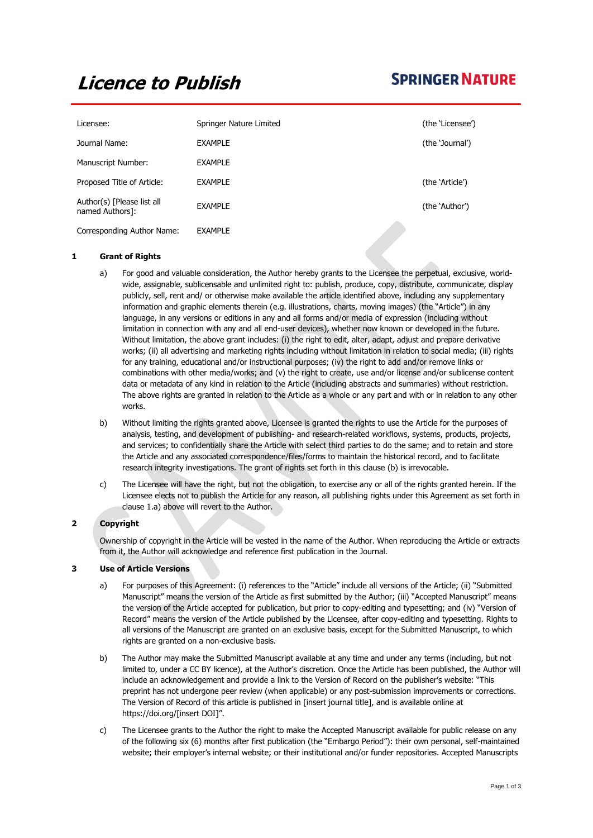# **Licence to Publish**

# **SPRINGER NATURE**

| Licensee:                                     | Springer Nature Limited | (the 'Licensee') |
|-----------------------------------------------|-------------------------|------------------|
| Journal Name:                                 | <b>EXAMPLE</b>          | (the 'Journal')  |
| Manuscript Number:                            | <b>EXAMPLE</b>          |                  |
| Proposed Title of Article:                    | <b>EXAMPLE</b>          | (the 'Article')  |
| Author(s) [Please list all<br>named Authors]: | <b>EXAMPLE</b>          | (the 'Author')   |
| Corresponding Author Name:                    | <b>EXAMPLE</b>          |                  |

# **1 Grant of Rights**

- a) For good and valuable consideration, the Author hereby grants to the Licensee the perpetual, exclusive, worldwide, assignable, sublicensable and unlimited right to: publish, produce, copy, distribute, communicate, display publicly, sell, rent and/ or otherwise make available the article identified above, including any supplementary information and graphic elements therein (e.g. illustrations, charts, moving images) (the "Article") in any language, in any versions or editions in any and all forms and/or media of expression (including without limitation in connection with any and all end-user devices), whether now known or developed in the future. Without limitation, the above grant includes: (i) the right to edit, alter, adapt, adjust and prepare derivative works; (ii) all advertising and marketing rights including without limitation in relation to social media; (iii) rights for any training, educational and/or instructional purposes; (iv) the right to add and/or remove links or combinations with other media/works; and (v) the right to create, use and/or license and/or sublicense content data or metadata of any kind in relation to the Article (including abstracts and summaries) without restriction. The above rights are granted in relation to the Article as a whole or any part and with or in relation to any other works.
- b) Without limiting the rights granted above, Licensee is granted the rights to use the Article for the purposes of analysis, testing, and development of publishing- and research-related workflows, systems, products, projects, and services; to confidentially share the Article with select third parties to do the same; and to retain and store the Article and any associated correspondence/files/forms to maintain the historical record, and to facilitate research integrity investigations. The grant of rights set forth in this clause (b) is irrevocable.
- c) The Licensee will have the right, but not the obligation, to exercise any or all of the rights granted herein. If the Licensee elects not to publish the Article for any reason, all publishing rights under this Agreement as set forth in clause 1.a) above will revert to the Author.

# **2 Copyright**

Ownership of copyright in the Article will be vested in the name of the Author. When reproducing the Article or extracts from it, the Author will acknowledge and reference first publication in the Journal.

# **3 Use of Article Versions**

- a) For purposes of this Agreement: (i) references to the "Article" include all versions of the Article; (ii) "Submitted Manuscript" means the version of the Article as first submitted by the Author; (iii) "Accepted Manuscript" means the version of the Article accepted for publication, but prior to copy-editing and typesetting; and (iv) "Version of Record" means the version of the Article published by the Licensee, after copy-editing and typesetting. Rights to all versions of the Manuscript are granted on an exclusive basis, except for the Submitted Manuscript, to which rights are granted on a non-exclusive basis.
- b) The Author may make the Submitted Manuscript available at any time and under any terms (including, but not limited to, under a CC BY licence), at the Author's discretion. Once the Article has been published, the Author will include an acknowledgement and provide a link to the Version of Record on the publisher's website: "This preprint has not undergone peer review (when applicable) or any post-submission improvements or corrections. The Version of Record of this article is published in [insert journal title], and is available online at [https://doi.org/\[insert](https://doi.org/%5binsert) DOI]".
- c) The Licensee grants to the Author the right to make the Accepted Manuscript available for public release on any of the following six (6) months after first publication (the "Embargo Period"): their own personal, self-maintained website; their employer's internal website; or their institutional and/or funder repositories. Accepted Manuscripts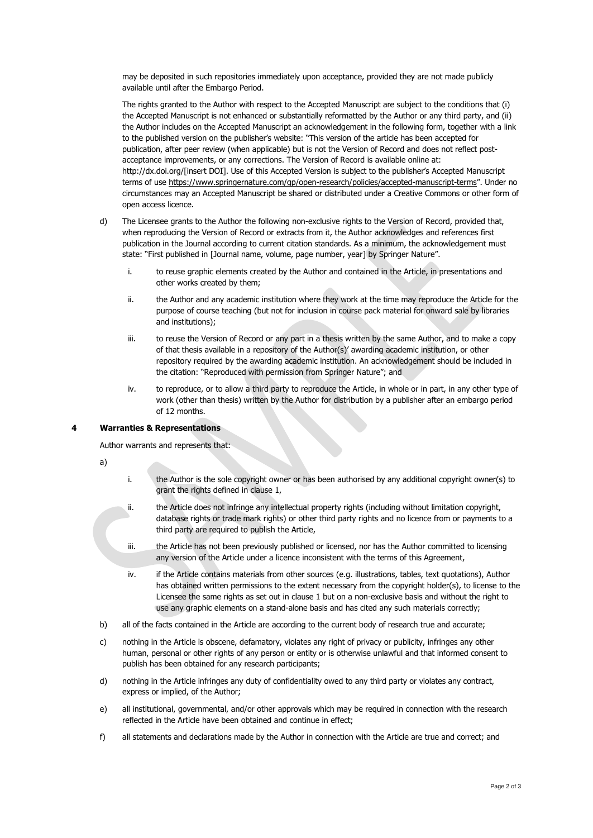may be deposited in such repositories immediately upon acceptance, provided they are not made publicly available until after the Embargo Period.

The rights granted to the Author with respect to the Accepted Manuscript are subject to the conditions that (i) the Accepted Manuscript is not enhanced or substantially reformatted by the Author or any third party, and (ii) the Author includes on the Accepted Manuscript an acknowledgement in the following form, together with a link to the published version on the publisher's website: "This version of the article has been accepted for publication, after peer review (when applicable) but is not the Version of Record and does not reflect postacceptance improvements, or any corrections. The Version of Record is available online at: http://dx.doi.org/[insert DOI]. Use of this Accepted Version is subject to the publisher's [Accepted Manuscript](https://www.springer.com/gp/open-access/publication-policies/aam-terms-of-use)  [terms of use](https://www.springer.com/gp/open-access/publication-policies/aam-terms-of-use) <https://www.springernature.com/gp/open-research/policies/accepted-manuscript-terms>". Under no circumstances may an Accepted Manuscript be shared or distributed under a Creative Commons or other form of open access licence.

- d) The Licensee grants to the Author the following non-exclusive rights to the Version of Record, provided that, when reproducing the Version of Record or extracts from it, the Author acknowledges and references first publication in the Journal according to current citation standards. As a minimum, the acknowledgement must state: "First published in [Journal name, volume, page number, year] by Springer Nature".
	- i. to reuse graphic elements created by the Author and contained in the Article, in presentations and other works created by them;
	- ii. the Author and any academic institution where they work at the time may reproduce the Article for the purpose of course teaching (but not for inclusion in course pack material for onward sale by libraries and institutions);
	- iii. to reuse the Version of Record or any part in a thesis written by the same Author, and to make a copy of that thesis available in a repository of the Author(s)' awarding academic institution, or other repository required by the awarding academic institution. An acknowledgement should be included in the citation: "Reproduced with permission from Springer Nature"; and
	- iv. to reproduce, or to allow a third party to reproduce the Article, in whole or in part, in any other type of work (other than thesis) written by the Author for distribution by a publisher after an embargo period of 12 months.

#### **4 Warranties & Representations**

Author warrants and represents that:

a)

- i. the Author is the sole copyright owner or has been authorised by any additional copyright owner(s) to grant the rights defined in clause 1,
- ii. the Article does not infringe any intellectual property rights (including without limitation copyright, database rights or trade mark rights) or other third party rights and no licence from or payments to a third party are required to publish the Article,
- iii. the Article has not been previously published or licensed, nor has the Author committed to licensing any version of the Article under a licence inconsistent with the terms of this Agreement,
- iv. if the Article contains materials from other sources (e.g. illustrations, tables, text quotations), Author has obtained written permissions to the extent necessary from the copyright holder(s), to license to the Licensee the same rights as set out in clause 1 but on a non-exclusive basis and without the right to use any graphic elements on a stand-alone basis and has cited any such materials correctly;
- b) all of the facts contained in the Article are according to the current body of research true and accurate;
- c) nothing in the Article is obscene, defamatory, violates any right of privacy or publicity, infringes any other human, personal or other rights of any person or entity or is otherwise unlawful and that informed consent to publish has been obtained for any research participants;
- d) nothing in the Article infringes any duty of confidentiality owed to any third party or violates any contract, express or implied, of the Author;
- e) all institutional, governmental, and/or other approvals which may be required in connection with the research reflected in the Article have been obtained and continue in effect;
- f) all statements and declarations made by the Author in connection with the Article are true and correct; and